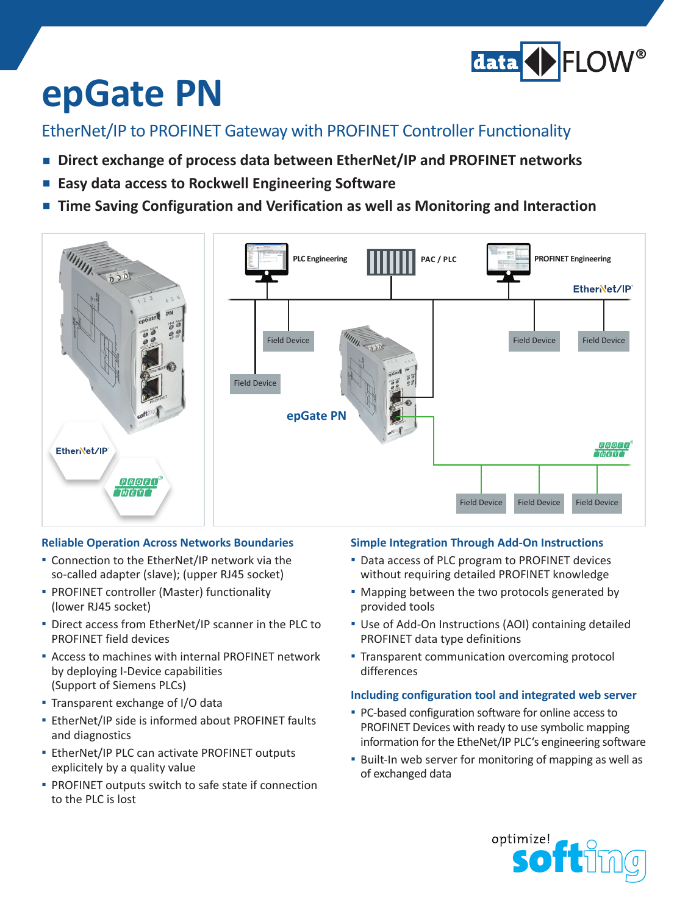

# **epGate PN**

EtherNet/IP to PROFINET Gateway with PROFINET Controller Functionality

- Direct exchange of process data between EtherNet/IP and PROFINET networks
- Easy data access to Rockwell Engineering Software
- **Time Saving Configuration and Verification as well as Monitoring and Interaction**



#### **Reliable Operation Across Networks Boundaries**

- **■** Connection to the EtherNet/IP network via the so-called adapter (slave); (upper RJ45 socket)
- **▪**  PROFINET controller (Master) functionality (lower RJ45 socket)
- **▪**  Direct access from EtherNet/IP scanner in the PLC to PROFINET field devices
- **▪**  Access to machines with internal PROFINET network by deploying I-Device capabilities (Support of Siemens PLCs)
- **▪**  Transparent exchange of I/O data
- **▪**  EtherNet/IP side is informed about PROFINET faults and diagnostics
- **▪**  EtherNet/IP PLC can activate PROFINET outputs explicitely by a quality value
- **▪** PROFINET outputs switch to safe state if connection to the PLC is lost

### **Simple Integration Through Add-On Instructions**

- **▪** Data access of PLC program to PROFINET devices without requiring detailed PROFINET knowledge
- Mapping between the two protocols generated by provided tools
- **▪**  Use of Add-On Instructions (AOI) containing detailed PROFINET data type definitions
- **▪** Transparent communication overcoming protocol differences

#### **Including configuration tool and integrated web server**

- **▪** PC-based configuration software for online access to PROFINET Devices with ready to use symbolic mapping information for the EtheNet/IP PLC's engineering software
- **▪** Built-In web server for monitoring of mapping as well as of exchanged data